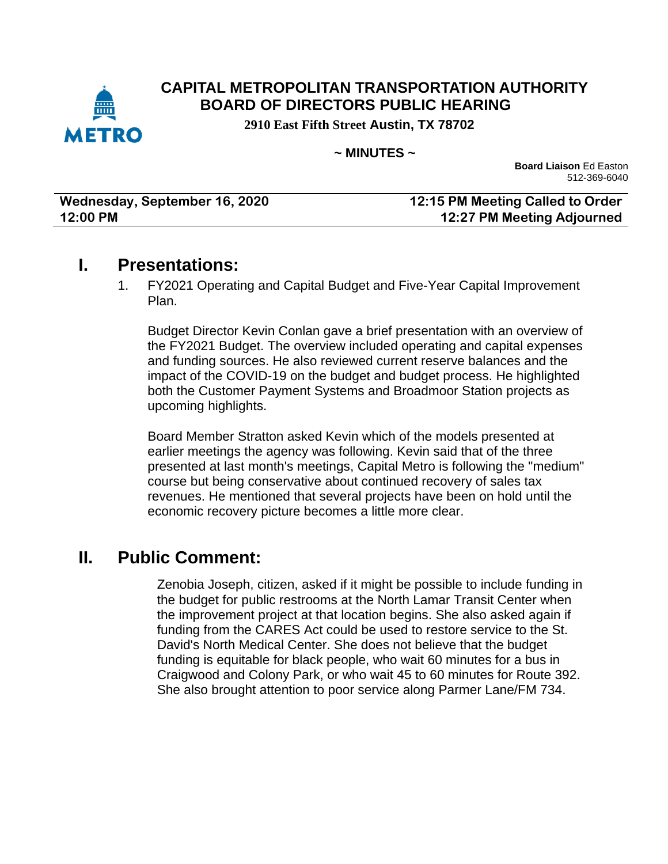

#### **CAPITAL METROPOLITAN TRANSPORTATION AUTHORITY BOARD OF DIRECTORS PUBLIC HEARING**

**2910 East Fifth Street Austin, TX 78702**

#### **~ MINUTES ~**

**Board Liaison** Ed Easton 512-369-6040

| Wednesday, September 16, 2020 | 12:15 PM Meeting Called to Order  |
|-------------------------------|-----------------------------------|
| 12:00 PM                      | <b>12:27 PM Meeting Adjourned</b> |

## **I. Presentations:**

1. FY2021 Operating and Capital Budget and Five-Year Capital Improvement Plan.

Budget Director Kevin Conlan gave a brief presentation with an overview of the FY2021 Budget. The overview included operating and capital expenses and funding sources. He also reviewed current reserve balances and the impact of the COVID-19 on the budget and budget process. He highlighted both the Customer Payment Systems and Broadmoor Station projects as upcoming highlights.

Board Member Stratton asked Kevin which of the models presented at earlier meetings the agency was following. Kevin said that of the three presented at last month's meetings, Capital Metro is following the "medium" course but being conservative about continued recovery of sales tax revenues. He mentioned that several projects have been on hold until the economic recovery picture becomes a little more clear.

## **II. Public Comment:**

Zenobia Joseph, citizen, asked if it might be possible to include funding in the budget for public restrooms at the North Lamar Transit Center when the improvement project at that location begins. She also asked again if funding from the CARES Act could be used to restore service to the St. David's North Medical Center. She does not believe that the budget funding is equitable for black people, who wait 60 minutes for a bus in Craigwood and Colony Park, or who wait 45 to 60 minutes for Route 392. She also brought attention to poor service along Parmer Lane/FM 734.